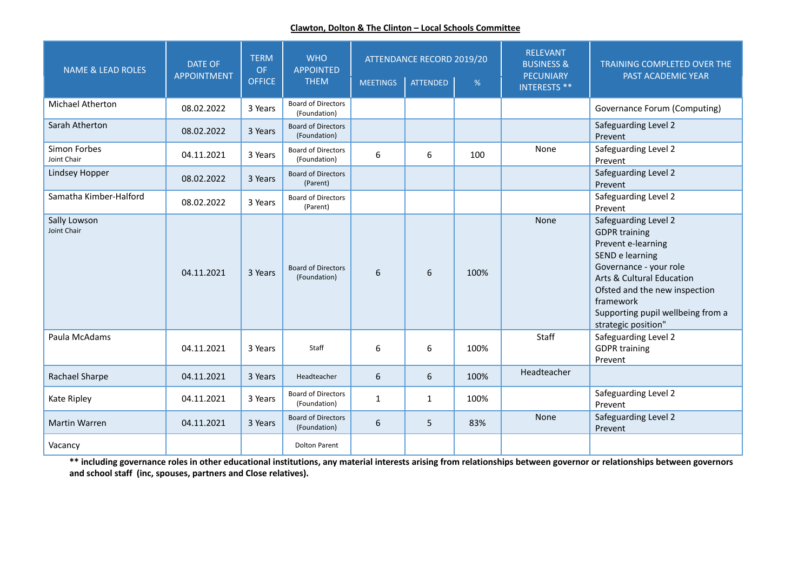## **Clawton, Dolton & The Clinton – Local Schools Committee**

| <b>NAME &amp; LEAD ROLES</b> | <b>DATE OF</b><br><b>APPOINTMENT</b> | <b>TERM</b><br><b>OF</b><br><b>OFFICE</b> | <b>WHO</b><br><b>APPOINTED</b><br><b>THEM</b> | <b>MEETINGS</b> | ATTENDANCE RECORD 2019/20<br><b>ATTENDED</b> | %    | <b>RELEVANT</b><br><b>BUSINESS &amp;</b><br>PECUNIARY<br><b>INTERESTS **</b> | <b>TRAINING COMPLETED OVER THE</b><br>PAST ACADEMIC YEAR                                                                                                                                                                                               |
|------------------------------|--------------------------------------|-------------------------------------------|-----------------------------------------------|-----------------|----------------------------------------------|------|------------------------------------------------------------------------------|--------------------------------------------------------------------------------------------------------------------------------------------------------------------------------------------------------------------------------------------------------|
| <b>Michael Atherton</b>      | 08.02.2022                           | 3 Years                                   | <b>Board of Directors</b><br>(Foundation)     |                 |                                              |      |                                                                              | Governance Forum (Computing)                                                                                                                                                                                                                           |
| Sarah Atherton               | 08.02.2022                           | 3 Years                                   | <b>Board of Directors</b><br>(Foundation)     |                 |                                              |      |                                                                              | Safeguarding Level 2<br>Prevent                                                                                                                                                                                                                        |
| Simon Forbes<br>Joint Chair  | 04.11.2021                           | 3 Years                                   | <b>Board of Directors</b><br>(Foundation)     | 6               | 6                                            | 100  | None                                                                         | Safeguarding Level 2<br>Prevent                                                                                                                                                                                                                        |
| Lindsey Hopper               | 08.02.2022                           | 3 Years                                   | <b>Board of Directors</b><br>(Parent)         |                 |                                              |      |                                                                              | Safeguarding Level 2<br>Prevent                                                                                                                                                                                                                        |
| Samatha Kimber-Halford       | 08.02.2022                           | 3 Years                                   | <b>Board of Directors</b><br>(Parent)         |                 |                                              |      |                                                                              | Safeguarding Level 2<br>Prevent                                                                                                                                                                                                                        |
| Sally Lowson<br>Joint Chair  | 04.11.2021                           | 3 Years                                   | <b>Board of Directors</b><br>(Foundation)     | 6               | 6                                            | 100% | None                                                                         | Safeguarding Level 2<br><b>GDPR training</b><br>Prevent e-learning<br>SEND e learning<br>Governance - your role<br>Arts & Cultural Education<br>Ofsted and the new inspection<br>framework<br>Supporting pupil wellbeing from a<br>strategic position" |
| Paula McAdams                | 04.11.2021                           | 3 Years                                   | Staff                                         | 6               | 6                                            | 100% | Staff                                                                        | Safeguarding Level 2<br><b>GDPR training</b><br>Prevent                                                                                                                                                                                                |
| Rachael Sharpe               | 04.11.2021                           | 3 Years                                   | Headteacher                                   | 6               | 6                                            | 100% | Headteacher                                                                  |                                                                                                                                                                                                                                                        |
| Kate Ripley                  | 04.11.2021                           | 3 Years                                   | <b>Board of Directors</b><br>(Foundation)     | $\mathbf{1}$    | $\mathbf{1}$                                 | 100% |                                                                              | Safeguarding Level 2<br>Prevent                                                                                                                                                                                                                        |
| <b>Martin Warren</b>         | 04.11.2021                           | 3 Years                                   | <b>Board of Directors</b><br>(Foundation)     | 6               | 5                                            | 83%  | None                                                                         | Safeguarding Level 2<br>Prevent                                                                                                                                                                                                                        |
| Vacancy                      |                                      |                                           | <b>Dolton Parent</b>                          |                 |                                              |      |                                                                              |                                                                                                                                                                                                                                                        |

\*\* including governance roles in other educational institutions, any material interests arising from relationships between governor or relationships between governors **and school staff (inc, spouses, partners and Close relatives).**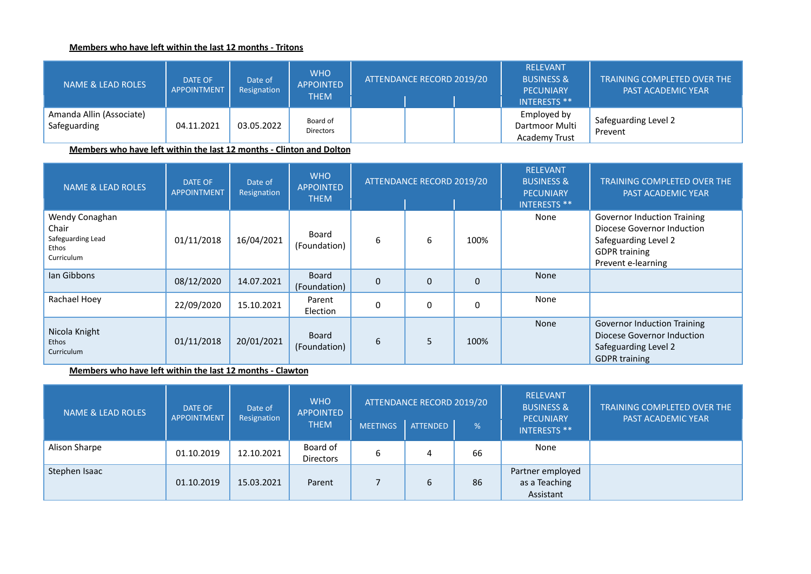## **Members who have left within the last 12 months - Tritons**

| NAME & LEAD ROLES                        | <b>DATE OF</b><br><b>APPOINTMENT</b> | Date of<br>Resignation | <b>WHO</b><br><b>APPOINTED</b><br><b>THEM</b> | ATTENDANCE RECORD 2019/20 | <b>RELEVANT</b><br><b>BUSINESS &amp;</b><br><b>PECUNIARY</b><br><b>INTERESTS **</b> | <b>TRAINING COMPLETED OVER THE</b><br><b>PAST ACADEMIC YEAR</b> |
|------------------------------------------|--------------------------------------|------------------------|-----------------------------------------------|---------------------------|-------------------------------------------------------------------------------------|-----------------------------------------------------------------|
| Amanda Allin (Associate)<br>Safeguarding | 04.11.2021                           | 03.05.2022             | Board of<br>Directors                         |                           | Employed by<br>Dartmoor Multi<br>Academy Trust                                      | Safeguarding Level 2<br>Prevent                                 |

**Members who have left within the last 12 months - Clinton and Dolton**

| <b>NAME &amp; LEAD ROLES</b>                                        | <b>DATE OF</b><br><b>APPOINTMENT</b> | Date of<br>Resignation | <b>WHO</b><br><b>APPOINTED</b><br><b>THEM</b> | ATTENDANCE RECORD 2019/20 |          |              | <b>RELEVANT</b><br><b>BUSINESS &amp;</b><br><b>PECUNIARY</b><br><b>INTERESTS **</b> | <b>TRAINING COMPLETED OVER THE</b><br><b>PAST ACADEMIC YEAR</b>                                                                        |
|---------------------------------------------------------------------|--------------------------------------|------------------------|-----------------------------------------------|---------------------------|----------|--------------|-------------------------------------------------------------------------------------|----------------------------------------------------------------------------------------------------------------------------------------|
| Wendy Conaghan<br>Chair<br>Safeguarding Lead<br>Ethos<br>Curriculum | 01/11/2018                           | 16/04/2021             | Board<br>(Foundation)                         | 6                         | 6        | 100%         | None                                                                                | <b>Governor Induction Training</b><br>Diocese Governor Induction<br>Safeguarding Level 2<br><b>GDPR</b> training<br>Prevent e-learning |
| lan Gibbons                                                         | 08/12/2020                           | 14.07.2021             | Board<br>(Foundation)                         | $\Omega$                  | $\Omega$ | $\mathbf{0}$ | None                                                                                |                                                                                                                                        |
| Rachael Hoey                                                        | 22/09/2020                           | 15.10.2021             | Parent<br>Election                            |                           | $\Omega$ | 0            | None                                                                                |                                                                                                                                        |
| Nicola Knight<br>Ethos<br><b>Curriculum</b>                         | 01/11/2018                           | 20/01/2021             | Board<br>(Foundation)                         | 6                         | 5        | 100%         | None                                                                                | <b>Governor Induction Training</b><br>Diocese Governor Induction<br>Safeguarding Level 2<br><b>GDPR training</b>                       |

**Members who have left within the last 12 months - Clawton**

| <b>NAME &amp; LEAD ROLES</b> | <b>DATE OF</b><br><b>APPOINTMENT</b> | Date of<br>Resignation | <b>WHO</b><br><b>APPOINTED</b><br><b>THEM</b> |                 | ATTENDANCE RECORD 2019/20 |    | <b>RELEVANT</b><br><b>BUSINESS &amp;</b><br><b>PECUNIARY</b><br><b>INTERESTS **</b> | TRAINING COMPLETED OVER THE<br><b>PAST ACADEMIC YEAR</b> |
|------------------------------|--------------------------------------|------------------------|-----------------------------------------------|-----------------|---------------------------|----|-------------------------------------------------------------------------------------|----------------------------------------------------------|
|                              |                                      |                        |                                               | <b>MEETINGS</b> | <b>ATTENDED</b>           | %  |                                                                                     |                                                          |
| Alison Sharpe                | 01.10.2019                           | 12.10.2021             | Board of<br>Directors                         | 6               | 4                         | 66 | None                                                                                |                                                          |
| Stephen Isaac                | 01.10.2019                           | 15.03.2021             | Parent                                        |                 | 6                         | 86 | Partner employed<br>as a Teaching<br>Assistant                                      |                                                          |